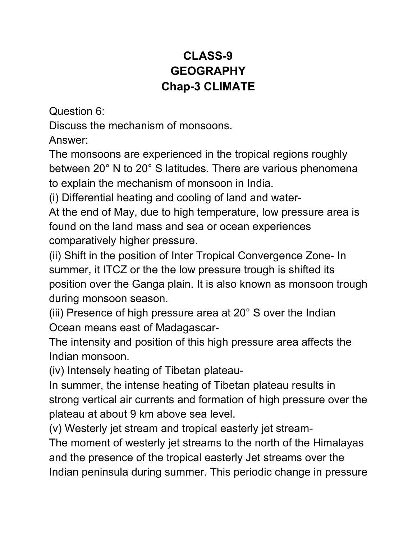## **CLASS-9 GEOGRAPHY Chap-3 CLIMATE**

Question 6:

Discuss the mechanism of monsoons.

Answer:

The monsoons are experienced in the tropical regions roughly between 20° N to 20° S latitudes. There are various phenomena to explain the mechanism of monsoon in India.

(i) Differential heating and cooling of land and water-

At the end of May, due to high temperature, low pressure area is found on the land mass and sea or ocean experiences comparatively higher pressure.

(ii) Shift in the position of Inter Tropical Convergence Zone- In summer, it ITCZ or the the low pressure trough is shifted its position over the Ganga plain. It is also known as monsoon trough during monsoon season.

(iii) Presence of high pressure area at 20° S over the Indian Ocean means east of Madagascar-

The intensity and position of this high pressure area affects the Indian monsoon.

(iv) Intensely heating of Tibetan plateau-

In summer, the intense heating of Tibetan plateau results in strong vertical air currents and formation of high pressure over the plateau at about 9 km above sea level.

(v) Westerly jet stream and tropical easterly jet stream-

The moment of westerly jet streams to the north of the Himalayas and the presence of the tropical easterly Jet streams over the Indian peninsula during summer. This periodic change in pressure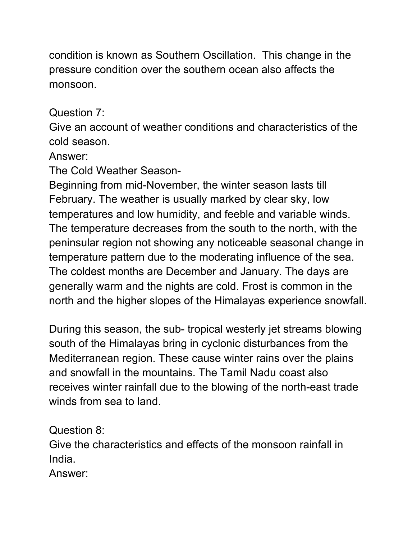condition is known as Southern Oscillation. This change in the pressure condition over the southern ocean also affects the monsoon.

Question 7:

Give an account of weather conditions and characteristics of the cold season.

## Answer:

The Cold Weather Season-

Beginning from mid-November, the winter season lasts till February. The weather is usually marked by clear sky, low temperatures and low humidity, and feeble and variable winds. The temperature decreases from the south to the north, with the peninsular region not showing any noticeable seasonal change in temperature pattern due to the moderating influence of the sea. The coldest months are December and January. The days are generally warm and the nights are cold. Frost is common in the north and the higher slopes of the Himalayas experience snowfall.

During this season, the sub- tropical westerly jet streams blowing south of the Himalayas bring in cyclonic disturbances from the Mediterranean region. These cause winter rains over the plains and snowfall in the mountains. The Tamil Nadu coast also receives winter rainfall due to the blowing of the north-east trade winds from sea to land.

Question 8:

Give the characteristics and effects of the monsoon rainfall in India.

Answer: